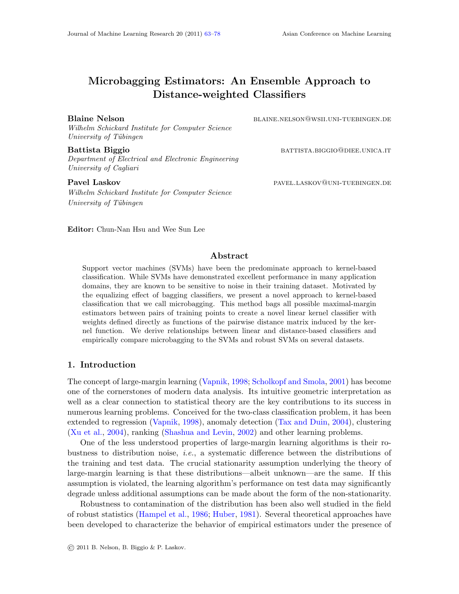# Microbagging Estimators: An Ensemble Approach to Distance-weighted Classifiers

Wilhelm Schickard Institute for Computer Science University of Tübingen

Battista Biggio battista battista.biggio battista battista battista battista battista battista battista batti Department of Electrical and Electronic Engineering University of Cagliari

Wilhelm Schickard Institute for Computer Science University of Tübingen

Blaine Nelson blaine.nelson@wsii.uni-tuebingen.de

Pavel Laskov **pavel.LASKOV PAVEL.LASKOV PAVEL** LASKOV PAVEL.LASKOV PAVEL.LASKOV PAVEL PUEBINGEN.DE

Editor: Chun-Nan Hsu and Wee Sun Lee

# Abstract

Support vector machines (SVMs) have been the predominate approach to kernel-based classification. While SVMs have demonstrated excellent performance in many application domains, they are known to be sensitive to noise in their training dataset. Motivated by the equalizing effect of bagging classifiers, we present a novel approach to kernel-based classification that we call microbagging. This method bags all possible maximal-margin estimators between pairs of training points to create a novel linear kernel classifier with weights defined directly as functions of the pairwise distance matrix induced by the kernel function. We derive relationships between linear and distance-based classifiers and empirically compare microbagging to the SVMs and robust SVMs on several datasets.

# 1. Introduction

The concept of large-margin learning [\(Vapnik,](#page-15-1) [1998;](#page-15-1) [Scholkopf and Smola,](#page-15-2) [2001\)](#page-15-2) has become one of the cornerstones of modern data analysis. Its intuitive geometric interpretation as well as a clear connection to statistical theory are the key contributions to its success in numerous learning problems. Conceived for the two-class classification problem, it has been extended to regression [\(Vapnik,](#page-15-1) [1998\)](#page-15-1), anomaly detection [\(Tax and Duin,](#page-15-3) [2004\)](#page-15-3), clustering [\(Xu et al.,](#page-15-4) [2004\)](#page-15-4), ranking [\(Shashua and Levin,](#page-15-5) [2002\)](#page-15-5) and other learning problems.

One of the less understood properties of large-margin learning algorithms is their robustness to distribution noise, *i.e.*, a systematic difference between the distributions of the training and test data. The crucial stationarity assumption underlying the theory of large-margin learning is that these distributions—albeit unknown—are the same. If this assumption is violated, the learning algorithm's performance on test data may significantly degrade unless additional assumptions can be made about the form of the non-stationarity.

Robustness to contamination of the distribution has been also well studied in the field of robust statistics [\(Hampel et al.,](#page-15-6) [1986;](#page-15-6) [Huber,](#page-15-7) [1981\)](#page-15-7). Several theoretical approaches have been developed to characterize the behavior of empirical estimators under the presence of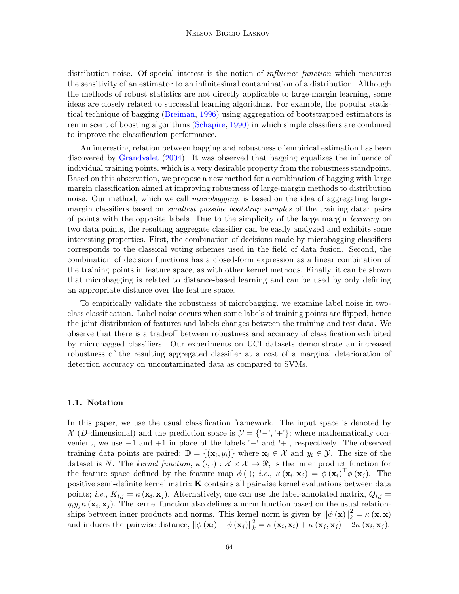distribution noise. Of special interest is the notion of *influence function* which measures the sensitivity of an estimator to an infinitesimal contamination of a distribution. Although the methods of robust statistics are not directly applicable to large-margin learning, some ideas are closely related to successful learning algorithms. For example, the popular statistical technique of bagging [\(Breiman,](#page-14-0) [1996\)](#page-14-0) using aggregation of bootstrapped estimators is reminiscent of boosting algorithms [\(Schapire,](#page-15-8) [1990\)](#page-15-8) in which simple classifiers are combined to improve the classification performance.

An interesting relation between bagging and robustness of empirical estimation has been discovered by [Grandvalet](#page-15-9) [\(2004\)](#page-15-9). It was observed that bagging equalizes the influence of individual training points, which is a very desirable property from the robustness standpoint. Based on this observation, we propose a new method for a combination of bagging with large margin classification aimed at improving robustness of large-margin methods to distribution noise. Our method, which we call *microbagging*, is based on the idea of aggregating largemargin classifiers based on *smallest possible bootstrap samples* of the training data: pairs of points with the opposite labels. Due to the simplicity of the large margin learning on two data points, the resulting aggregate classifier can be easily analyzed and exhibits some interesting properties. First, the combination of decisions made by microbagging classifiers corresponds to the classical voting schemes used in the field of data fusion. Second, the combination of decision functions has a closed-form expression as a linear combination of the training points in feature space, as with other kernel methods. Finally, it can be shown that microbagging is related to distance-based learning and can be used by only defining an appropriate distance over the feature space.

To empirically validate the robustness of microbagging, we examine label noise in twoclass classification. Label noise occurs when some labels of training points are flipped, hence the joint distribution of features and labels changes between the training and test data. We observe that there is a tradeoff between robustness and accuracy of classification exhibited by microbagged classifiers. Our experiments on UCI datasets demonstrate an increased robustness of the resulting aggregated classifier at a cost of a marginal deterioration of detection accuracy on uncontaminated data as compared to SVMs.

#### 1.1. Notation

In this paper, we use the usual classification framework. The input space is denoted by  $X$  (D-dimensional) and the prediction space is  $\mathcal{Y} = \{-1, 1\}$ ; where mathematically convenient, we use −1 and +1 in place of the labels '−' and '+', respectively. The observed training data points are paired:  $\mathbb{D} = \{(\mathbf{x}_i, y_i)\}\$  where  $\mathbf{x}_i \in \mathcal{X}$  and  $y_i \in \mathcal{Y}$ . The size of the dataset is N. The kernel function,  $\kappa(\cdot, \cdot): \mathcal{X} \times \mathcal{X} \to \mathbb{R}$ , is the inner product function for the feature space defined by the feature map  $\phi(\cdot)$ ; *i.e.*,  $\kappa(\mathbf{x}_i, \mathbf{x}_j) = \phi(\mathbf{x}_i)^\top \phi(\mathbf{x}_j)$ . The positive semi-definite kernel matrix K contains all pairwise kernel evaluations between data points; *i.e.*,  $K_{i,j} = \kappa (\mathbf{x}_i, \mathbf{x}_j)$ . Alternatively, one can use the label-annotated matrix,  $Q_{i,j} =$  $y_i y_j \kappa (\mathbf{x}_i, \mathbf{x}_j)$ . The kernel function also defines a norm function based on the usual relationships between inner products and norms. This kernel norm is given by  $\|\phi(\mathbf{x})\|_k^2 = \kappa(\mathbf{x}, \mathbf{x})$ and induces the pairwise distance,  $\|\phi(\mathbf{x}_i) - \phi(\mathbf{x}_j)\|_{k}^{2} = \kappa(\mathbf{x}_i, \mathbf{x}_i) + \kappa(\mathbf{x}_j, \mathbf{x}_j) - 2\kappa(\mathbf{x}_i, \mathbf{x}_j).$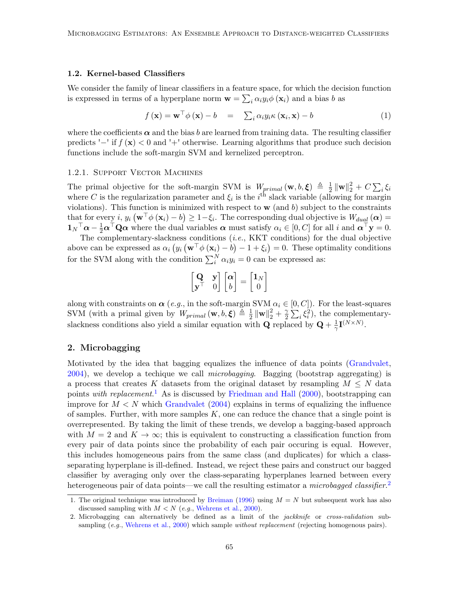#### <span id="page-2-3"></span>1.2. Kernel-based Classifiers

We consider the family of linear classifiers in a feature space, for which the decision function is expressed in terms of a hyperplane norm  $\mathbf{w} = \sum_i \alpha_i y_i \phi(\mathbf{x}_i)$  and a bias b as

<span id="page-2-2"></span>
$$
f(\mathbf{x}) = \mathbf{w}^\top \phi(\mathbf{x}) - b = \sum_{i} \alpha_i y_i \kappa(\mathbf{x}_i, \mathbf{x}) - b \tag{1}
$$

where the coefficients  $\alpha$  and the bias b are learned from training data. The resulting classifier predicts '−' if  $f(\mathbf{x}) < 0$  and '+' otherwise. Learning algorithms that produce such decision functions include the soft-margin SVM and kernelized perceptron.

#### 1.2.1. Support Vector Machines

The primal objective for the soft-margin SVM is  $W_{primal}(\mathbf{w}, b, \boldsymbol{\xi}) \triangleq \frac{1}{2}$  $\frac{1}{2}\left\Vert \mathbf{w}\right\Vert _{2}^{2}+C\sum_{i}\xi_{i}$ where C is the regularization parameter and  $\xi_i$  is the i<sup>th</sup> slack variable (allowing for margin violations). This function is minimized with respect to  $\bf{w}$  (and b) subject to the constraints that for every i,  $y_i \left( \mathbf{w}^\top \phi \left( \mathbf{x}_i \right) - b \right) \ge 1 - \xi_i$ . The corresponding dual objective is  $W_{dual}(\boldsymbol{\alpha}) =$  $\mathbf{1}_N^\top \boldsymbol{\alpha} - \frac{1}{2} \boldsymbol{\alpha}^\top \mathbf{Q} \boldsymbol{\alpha}$  where the dual variables  $\boldsymbol{\alpha}$  must satisfy  $\alpha_i \in [0, C]$  for all i and  $\boldsymbol{\alpha}^\top \mathbf{y} = 0$ .

The complementary-slackness conditions (i.e., KKT conditions) for the dual objective above can be expressed as  $\alpha_i (y_i (\mathbf{w}^\top \phi(\mathbf{x}_i) - b) - 1 + \xi_i) = 0$ . These optimality conditions for the SVM along with the condition  $\sum_i^N \alpha_i y_i = 0$  can be expressed as:

$$
\begin{bmatrix} \mathbf{Q} & \mathbf{y} \\ \mathbf{y}^{\top} & 0 \end{bmatrix} \begin{bmatrix} \alpha \\ b \end{bmatrix} = \begin{bmatrix} \mathbf{1}_N \\ 0 \end{bmatrix}
$$

along with constraints on  $\alpha$  (e.g., in the soft-margin SVM  $\alpha_i \in [0, C]$ ). For the least-squares SVM (with a primal given by  $W_{primal}(\mathbf{w}, b, \boldsymbol{\xi}) \triangleq \frac{1}{2}$  $\frac{1}{2} \|\mathbf{w}\|_2^2 + \frac{\gamma}{2}$  $\frac{\gamma}{2} \sum_i \xi_i^2$ , the complementaryslackness conditions also yield a similar equation with **Q** replaced by  $Q + \frac{1}{\gamma}$  $\frac{1}{\gamma}$ **I**<sup>(N×N)</sup>.

# 2. Microbagging

Motivated by the idea that bagging equalizes the influence of data points [\(Grandvalet,](#page-15-9)  $2004$ , we develop a techique we call *microbagging*. Bagging (bootstrap aggregating) is a process that creates K datasets from the original dataset by resampling  $M \leq N$  data points *with replacement.*<sup>[1](#page-2-0)</sup> As is discussed by [Friedman and Hall](#page-15-10)  $(2000)$ , bootstrapping can improve for  $M < N$  which [Grandvalet](#page-15-9) [\(2004\)](#page-15-9) explains in terms of equalizing the influence of samples. Further, with more samples  $K$ , one can reduce the chance that a single point is overrepresented. By taking the limit of these trends, we develop a bagging-based approach with  $M = 2$  and  $K \to \infty$ ; this is equivalent to constructing a classification function from every pair of data points since the probability of each pair occuring is equal. However, this includes homogeneous pairs from the same class (and duplicates) for which a classseparating hyperplane is ill-defined. Instead, we reject these pairs and construct our bagged classifier by averaging only over the class-separating hyperplanes learned between every heterogeneous pair of data points—we call the resulting estimator a *microbagged classifier*.<sup>[2](#page-2-1)</sup>

<span id="page-2-0"></span><sup>1.</sup> The original technique was introduced by [Breiman](#page-14-0) [\(1996\)](#page-14-0) using  $M = N$  but subsequent work has also discussed sampling with  $M < N$  (e.g., [Wehrens et al.,](#page-15-11) [2000\)](#page-15-11).

<span id="page-2-1"></span><sup>2.</sup> Microbagging can alternatively be defined as a limit of the jackknife or cross-validation sub-sampling (e.g., [Wehrens et al.,](#page-15-11) [2000\)](#page-15-11) which sample *without replacement* (rejecting homogenous pairs).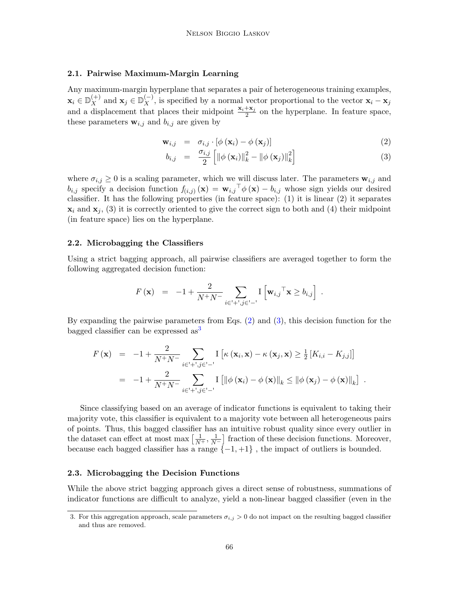# 2.1. Pairwise Maximum-Margin Learning

Any maximum-margin hyperplane that separates a pair of heterogeneous training examples,  $\mathbf{x}_i \in \mathbb{D}_{X}^{(+)}$  and  $\mathbf{x}_j \in \mathbb{D}_{X}^{(-)}$ , is specified by a normal vector proportional to the vector  $\mathbf{x}_i - \mathbf{x}_j$ and a displacement that places their midpoint  $\frac{\mathbf{x}_i + \mathbf{x}_j}{2}$  on the hyperplane. In feature space, these parameters  $\mathbf{w}_{i,j}$  and  $b_{i,j}$  are given by

$$
\mathbf{w}_{i,j} = \sigma_{i,j} \cdot [\phi(\mathbf{x}_i) - \phi(\mathbf{x}_j)] \tag{2}
$$

<span id="page-3-0"></span>
$$
b_{i,j} = \frac{\sigma_{i,j}}{2} \left[ \left\| \phi \left( \mathbf{x}_i \right) \right\|_k^2 - \left\| \phi \left( \mathbf{x}_j \right) \right\|_k^2 \right] \tag{3}
$$

where  $\sigma_{i,j} \geq 0$  is a scaling parameter, which we will discuss later. The parameters  $\mathbf{w}_{i,j}$  and  $b_{i,j}$  specify a decision function  $f_{(i,j)}(\mathbf{x}) = \mathbf{w}_{i,j}^\top \phi(\mathbf{x}) - b_{i,j}$  whose sign yields our desired classifier. It has the following properties (in feature space): (1) it is linear (2) it separates  $\mathbf{x}_i$  and  $\mathbf{x}_j$ , (3) it is correctly oriented to give the correct sign to both and (4) their midpoint (in feature space) lies on the hyperplane.

#### 2.2. Microbagging the Classifiers

Using a strict bagging approach, all pairwise classifiers are averaged together to form the following aggregated decision function:

$$
F(\mathbf{x}) = -1 + \frac{2}{N^+ N^-} \sum_{i \in \mathcal{I}^+, j \in \mathcal{I}^-} \mathbf{I} \left[ \mathbf{w}_{i,j}^\top \mathbf{x} \ge b_{i,j} \right] .
$$

By expanding the pairwise parameters from Eqs. [\(2\)](#page-3-0) and [\(3\)](#page-3-0), this decision function for the bagged classifier can be expressed  $as<sup>3</sup>$  $as<sup>3</sup>$  $as<sup>3</sup>$ 

$$
F(\mathbf{x}) = -1 + \frac{2}{N^+ N^-} \sum_{i \in \mathcal{I} + \mathcal{I}, j \in \mathcal{I} - \mathcal{I}} \mathrm{I} \left[ \kappa (\mathbf{x}_i, \mathbf{x}) - \kappa (\mathbf{x}_j, \mathbf{x}) \ge \frac{1}{2} \left[ K_{i,i} - K_{j,j} \right] \right]
$$
  
= -1 +  $\frac{2}{N^+ N^-} \sum_{i \in \mathcal{I} + \mathcal{I}, j \in \mathcal{I} - \mathcal{I}} \mathrm{I} \left[ \left\| \phi (\mathbf{x}_i) - \phi (\mathbf{x}) \right\|_k \le \left\| \phi (\mathbf{x}_j) - \phi (\mathbf{x}) \right\|_k \right].$ 

Since classifying based on an average of indicator functions is equivalent to taking their majority vote, this classifier is equivalent to a majority vote between all heterogeneous pairs of points. Thus, this bagged classifier has an intuitive robust quality since every outlier in the dataset can effect at most max  $\left[\frac{1}{N^+}, \frac{1}{N^-}\right]$  fraction of these decision functions. Moreover, because each bagged classifier has a range  $\{-1, +1\}$ , the impact of outliers is bounded.

#### 2.3. Microbagging the Decision Functions

While the above strict bagging approach gives a direct sense of robustness, summations of indicator functions are difficult to analyze, yield a non-linear bagged classifier (even in the

<span id="page-3-1"></span><sup>3.</sup> For this aggregation approach, scale parameters  $\sigma_{i,j} > 0$  do not impact on the resulting bagged classifier and thus are removed.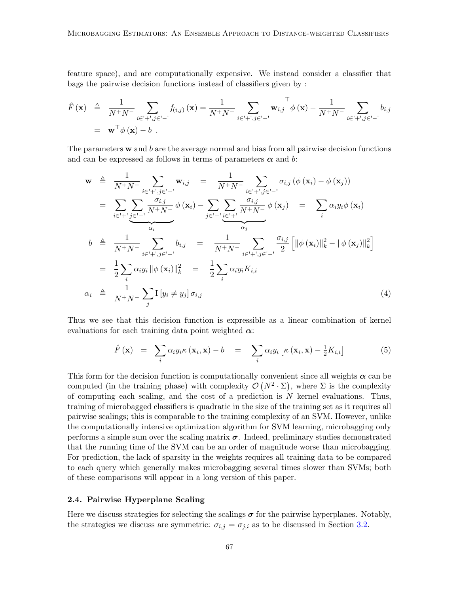feature space), and are computationally expensive. We instead consider a classifier that bags the pairwise decision functions instead of classifiers given by :

$$
\hat{F}(\mathbf{x}) \triangleq \frac{1}{N^+ N^-} \sum_{i \in \{+,',j\in\{-\}}} f_{(i,j)}(\mathbf{x}) = \frac{1}{N^+ N^-} \sum_{i \in \{+,',j\in\{-\}}} \mathbf{w}_{i,j} \phi(\mathbf{x}) - \frac{1}{N^+ N^-} \sum_{i \in \{+,',j\in\{-\}}} b_{i,j}
$$
\n
$$
= \mathbf{w}^\top \phi(\mathbf{x}) - b \ .
$$

The parameters  $\bf{w}$  and  $\bf{b}$  are the average normal and bias from all pairwise decision functions and can be expressed as follows in terms of parameters  $\alpha$  and b:

<span id="page-4-1"></span>
$$
\mathbf{w} \triangleq \frac{1}{N^+N^-} \sum_{i \in \{1, \dots, j\} \subset \{1, \dots\}} \mathbf{w}_{i,j} = \frac{1}{N^+N^-} \sum_{i \in \{1, \dots, j\} \subset \{1, \dots\}} \sigma_{i,j} \left( \phi \left( \mathbf{x}_i \right) - \phi \left( \mathbf{x}_j \right) \right)
$$
\n
$$
= \sum_{i \in \{1, \dots, j\} \subset \{1, \dots\}} \frac{\sigma_{i,j}}{N^+N^-} \phi \left( \mathbf{x}_i \right) - \sum_{j \in \{1, \dots, j\} \subset \{1, \dots\}} \frac{\sigma_{i,j}}{N^+N^-} \phi \left( \mathbf{x}_j \right) = \sum_{i} \alpha_i y_i \phi \left( \mathbf{x}_i \right)
$$
\n
$$
b \triangleq \frac{1}{N^+N^-} \sum_{i \in \{1, \dots, j\} \subset \{1, \dots\}} b_{i,j} = \frac{1}{N^+N^-} \sum_{i \in \{1, \dots, j\} \subset \{1, \dots\}} \frac{\sigma_{i,j}}{2} \left[ \|\phi \left( \mathbf{x}_i\right) \|_k^2 - \|\phi \left( \mathbf{x}_j \right) \|_k^2 \right]
$$
\n
$$
= \frac{1}{2} \sum_{i} \alpha_i y_i \|\phi \left( \mathbf{x}_i \right) \|_k^2 = \frac{1}{2} \sum_{i} \alpha_i y_i K_{i,i}
$$
\n
$$
\alpha_i \triangleq \frac{1}{N^+N^-} \sum_{j} I \left[ y_i \neq y_j \right] \sigma_{i,j} \tag{4}
$$

Thus we see that this decision function is expressible as a linear combination of kernel evaluations for each training data point weighted  $\alpha$ :

$$
\hat{F}(\mathbf{x}) = \sum_{i} \alpha_{i} y_{i} \kappa(\mathbf{x}_{i}, \mathbf{x}) - b = \sum_{i} \alpha_{i} y_{i} \left[ \kappa(\mathbf{x}_{i}, \mathbf{x}) - \frac{1}{2} K_{i, i} \right]
$$
(5)

This form for the decision function is computationally convenient since all weights  $\alpha$  can be computed (in the training phase) with complexity  $\mathcal{O}(N^2 \cdot \Sigma)$ , where  $\Sigma$  is the complexity of computing each scaling, and the cost of a prediction is  $N$  kernel evaluations. Thus, training of microbagged classifiers is quadratic in the size of the training set as it requires all pairwise scalings; this is comparable to the training complexity of an SVM. However, unlike the computationally intensive optimization algorithm for SVM learning, microbagging only performs a simple sum over the scaling matrix  $\sigma$ . Indeed, preliminary studies demonstrated that the running time of the SVM can be an order of magnitude worse than microbagging. For prediction, the lack of sparsity in the weights requires all training data to be compared to each query which generally makes microbagging several times slower than SVMs; both of these comparisons will appear in a long version of this paper.

# <span id="page-4-0"></span>2.4. Pairwise Hyperplane Scaling

Here we discuss strategies for selecting the scalings  $\sigma$  for the pairwise hyperplanes. Notably, the strategies we discuss are symmetric:  $\sigma_{i,j} = \sigma_{j,i}$  as to be discussed in Section [3.2.](#page-6-0)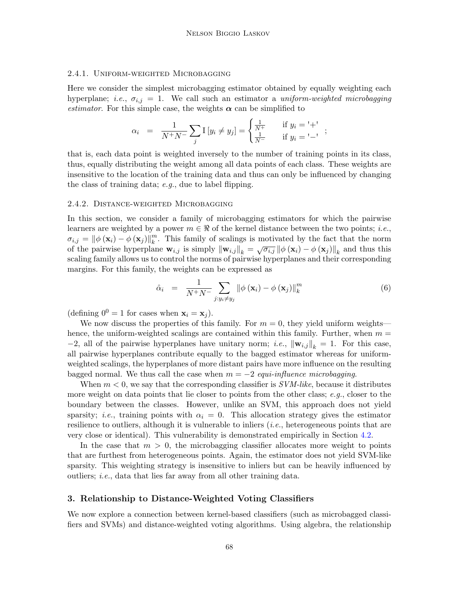### 2.4.1. Uniform-weighted Microbagging

Here we consider the simplest microbagging estimator obtained by equally weighting each hyperplane; *i.e.*,  $\sigma_{i,j} = 1$ . We call such an estimator a *uniform-weighted microbagging estimator*. For this simple case, the weights  $\alpha$  can be simplified to

$$
\alpha_i = \frac{1}{N^+N^-} \sum_j I[y_i \neq y_j] = \begin{cases} \frac{1}{N^+} & \text{if } y_i = ' +' \\ \frac{1}{N^-} & \text{if } y_i = ' -' \end{cases};
$$

that is, each data point is weighted inversely to the number of training points in its class, thus, equally distributing the weight among all data points of each class. These weights are insensitive to the location of the training data and thus can only be influenced by changing the class of training data; e.g., due to label flipping.

#### 2.4.2. Distance-weighted Microbagging

In this section, we consider a family of microbagging estimators for which the pairwise learners are weighted by a power  $m \in \Re$  of the kernel distance between the two points; *i.e.*,  $\sigma_{i,j} = \left\| \phi\left(\mathbf{x}_i\right) - \phi\left(\mathbf{x}_j\right) \right\|_k^m$  $_k^m$ . This family of scalings is motivated by the fact that the norm of the pairwise hyperplane  $\mathbf{w}_{i,j}$  is simply  $\|\mathbf{w}_{i,j}\|_k = \sqrt{\sigma_{i,j}} \|\phi(\mathbf{x}_i) - \phi(\mathbf{x}_j)\|_k$  and thus this scaling family allows us to control the norms of pairwise hyperplanes and their corresponding margins. For this family, the weights can be expressed as

$$
\hat{\alpha}_{i} = \frac{1}{N^{+}N^{-}} \sum_{j:y_{i} \neq y_{j}} ||\phi\left(\mathbf{x}_{i}\right) - \phi\left(\mathbf{x}_{j}\right)||_{k}^{m}
$$
\n(6)

(defining  $0^0 = 1$  for cases when  $\mathbf{x}_i = \mathbf{x}_j$ ).

We now discuss the properties of this family. For  $m = 0$ , they yield uniform weights hence, the uniform-weighted scalings are contained within this family. Further, when  $m =$ −2, all of the pairwise hyperplanes have unitary norm; *i.e.*,  $\|\mathbf{w}_{i,j}\|_{k} = 1$ . For this case, all pairwise hyperplanes contribute equally to the bagged estimator whereas for uniformweighted scalings, the hyperplanes of more distant pairs have more influence on the resulting bagged normal. We thus call the case when  $m = -2$  equi-influence microbagging.

When  $m < 0$ , we say that the corresponding classifier is  $SVM-like$ , because it distributes more weight on data points that lie closer to points from the other class;  $e.g.,$  closer to the boundary between the classes. However, unlike an SVM, this approach does not yield sparsity; *i.e.*, training points with  $\alpha_i = 0$ . This allocation strategy gives the estimator resilience to outliers, although it is vulnerable to inliers  $(i.e.,$  heterogeneous points that are very close or identical). This vulnerability is demonstrated empirically in Section [4.2.](#page-8-0)

In the case that  $m > 0$ , the microbagging classifier allocates more weight to points that are furthest from heterogeneous points. Again, the estimator does not yield SVM-like sparsity. This weighting strategy is insensitive to inliers but can be heavily influenced by outliers; i.e., data that lies far away from all other training data.

### <span id="page-5-0"></span>3. Relationship to Distance-Weighted Voting Classifiers

We now explore a connection between kernel-based classifiers (such as microbagged classifiers and SVMs) and distance-weighted voting algorithms. Using algebra, the relationship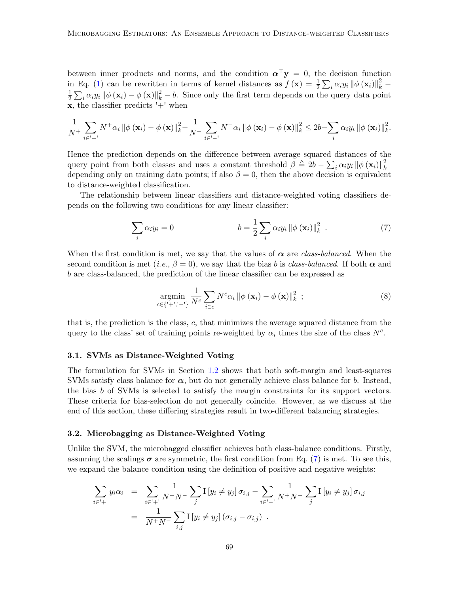between inner products and norms, and the condition  $\alpha^{\top} y = 0$ , the decision function in Eq. [\(1\)](#page-2-2) can be rewritten in terms of kernel distances as  $f(\mathbf{x}) = \frac{1}{2} \sum_i \alpha_i y_i \|\phi(\mathbf{x}_i)\|_{k}^2$ 1  $\frac{1}{2} \sum_i \alpha_i y_i \|\phi(\mathbf{x}_i) - \phi(\mathbf{x})\|_{k}^2 - b$ . Since only the first term depends on the query data point  $x$ , the classifier predicts  $'$ +' when

$$
\frac{1}{N^{+}}\sum_{i\in I^{+}} N^{+}\alpha_{i} \left\|\phi\left(\mathbf{x}_{i}\right)-\phi\left(\mathbf{x}\right)\right\|_{k}^{2} - \frac{1}{N^{-}}\sum_{i\in I^{-}} N^{-}\alpha_{i} \left\|\phi\left(\mathbf{x}_{i}\right)-\phi\left(\mathbf{x}\right)\right\|_{k}^{2} \leq 2b - \sum_{i} \alpha_{i} y_{i} \left\|\phi\left(\mathbf{x}_{i}\right)\right\|_{k}^{2}.
$$

Hence the prediction depends on the difference between average squared distances of the query point from both classes and uses a constant threshold  $\beta \triangleq 2b - \sum_i \alpha_i y_i \|\phi(\mathbf{x}_i)\|_{k}^2$ k depending only on training data points; if also  $\beta = 0$ , then the above decision is equivalent to distance-weighted classification.

The relationship between linear classifiers and distance-weighted voting classifiers depends on the following two conditions for any linear classifier:

$$
\sum_{i} \alpha_{i} y_{i} = 0 \qquad b = \frac{1}{2} \sum_{i} \alpha_{i} y_{i} ||\phi(\mathbf{x}_{i})||_{k}^{2} . \qquad (7)
$$

When the first condition is met, we say that the values of  $\alpha$  are class-balanced. When the second condition is met (i.e.,  $\beta = 0$ ), we say that the bias b is class-balanced. If both  $\alpha$  and b are class-balanced, the prediction of the linear classifier can be expressed as

<span id="page-6-2"></span><span id="page-6-1"></span>
$$
\underset{c \in \{'+','-'\}}{\operatorname{argmin}} \frac{1}{N^c} \sum_{i \in c} N^c \alpha_i \left\| \phi\left(\mathbf{x}_i\right) - \phi\left(\mathbf{x}\right) \right\|_k^2 ; \tag{8}
$$

that is, the prediction is the class, c, that minimizes the average squared distance from the query to the class' set of training points re-weighted by  $\alpha_i$  times the size of the class  $N^c$ .

#### 3.1. SVMs as Distance-Weighted Voting

The formulation for SVMs in Section [1.2](#page-2-3) shows that both soft-margin and least-squares SVMs satisfy class balance for  $\alpha$ , but do not generally achieve class balance for b. Instead, the bias b of SVMs is selected to satisfy the margin constraints for its support vectors. These criteria for bias-selection do not generally coincide. However, as we discuss at the end of this section, these differing strategies result in two-different balancing strategies.

### <span id="page-6-0"></span>3.2. Microbagging as Distance-Weighted Voting

Unlike the SVM, the microbagged classifier achieves both class-balance conditions. Firstly, assuming the scalings  $\sigma$  are symmetric, the first condition from Eq. [\(7\)](#page-6-1) is met. To see this, we expand the balance condition using the definition of positive and negative weights:

$$
\sum_{i \in I^+} y_i \alpha_i = \sum_{i \in I^+} \frac{1}{N^+ N^-} \sum_j I \left[ y_i \neq y_j \right] \sigma_{i,j} - \sum_{i \in I^-} \frac{1}{N^+ N^-} \sum_j I \left[ y_i \neq y_j \right] \sigma_{i,j}
$$
  
= 
$$
\frac{1}{N^+ N^-} \sum_{i,j} I \left[ y_i \neq y_j \right] (\sigma_{i,j} - \sigma_{i,j}) .
$$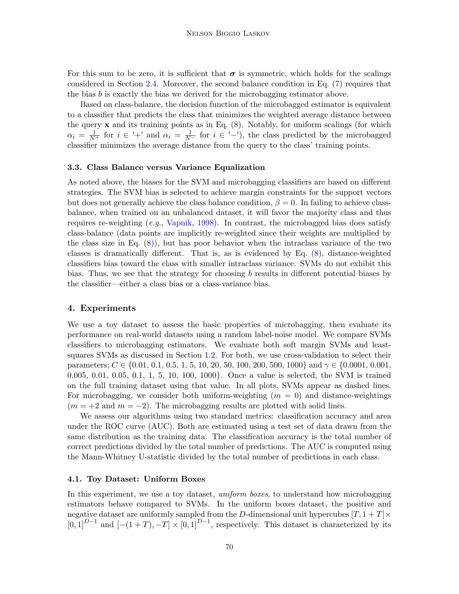For this sum to be zero, it is sufficient that  $\sigma$  is symmetric, which holds for the scalings considered in Section [2.4.](#page-4-0) Moreover, the second balance condition in Eq. [\(7\)](#page-6-1) requires that the bias  $b$  is exactly the bias we derived for the microbagging estimator above.

Based on class-balance, the decision function of the microbagged estimator is equivalent to a classifier that predicts the class that minimizes the weighted average distance between the query  $x$  and its training points as in Eq.  $(8)$ . Notably, for uniform scalings (for which  $\alpha_i = \frac{1}{N^+}$  for  $i \in \lvert + \rvert$  and  $\alpha_i = \frac{1}{N^-}$  for  $i \in \lvert - \rvert$ , the class predicted by the microbagged classifier minimizes the average distance from the query to the class' training points.

#### 3.3. Class Balance versus Variance Equalization

As noted above, the biases for the SVM and microbagging classifiers are based on different strategies. The SVM bias is selected to achieve margin constraints for the support vectors but does not generally achieve the class balance condition,  $\beta = 0$ . In failing to achieve classbalance, when trained on an unbalanced dataset, it will favor the majority class and thus requires re-weighting  $(e.g., \text{Vapnik}, 1998)$  $(e.g., \text{Vapnik}, 1998)$ . In contrast, the microbagged bias does satisfy class-balance (data points are implicitly re-weighted since their weights are multiplied by the class size in Eq. [\(8\)](#page-6-2)), but has poor behavior when the intraclass variance of the two classes is dramatically different. That is, as is evidenced by Eq. [\(8\)](#page-6-2), distance-weighted classifiers bias toward the class with smaller intraclass variance. SVMs do not exhibit this bias. Thus, we see that the strategy for choosing b results in different potential biases by the classifier—either a class bias or a class-variance bias.

# <span id="page-7-0"></span>4. Experiments

We use a toy dataset to assess the basic properties of microbagging, then evaluate its performance on real-world datasets using a random label-noise model. We compare SVMs classifiers to microbagging estimators. We evaluate both soft margin SVMs and leastsquares SVMs as discussed in Section [1.2.](#page-2-3) For both, we use cross-validation to select their parameters;  $C \in \{0.01, 0.1, 0.5, 1, 5, 10, 20, 50, 100, 200, 500, 1000\}$  and  $\gamma \in \{0.0001, 0.001, 0.001, 0.001, 0.001, 0.001, 0.001, 0.001, 0.001, 0.001, 0.001, 0.001, 0.001, 0.001, 0.001, 0.001, 0.001, 0.001, 0.001, 0$ 0.005, 0.01, 0.05, 0.1, 1, 5, 10, 100, 1000}. Once a value is selected, the SVM is trained on the full training dataset using that value. In all plots, SVMs appear as dashed lines. For microbagging, we consider both uniform-weighting  $(m = 0)$  and distance-weightings  $(m = +2 \text{ and } m = -2)$ . The microbagging results are plotted with solid lines.

We assess our algorithms using two standard metrics: classification accuracy and area under the ROC curve (AUC). Both are estimated using a test set of data drawn from the same distribution as the training data. The classification accuracy is the total number of correct predictions divided by the total number of predictions. The AUC is computed using the Mann-Whitney U-statistic divided by the total number of predictions in each class.

#### 4.1. Toy Dataset: Uniform Boxes

In this experiment, we use a toy dataset, *uniform boxes*, to understand how microbagging estimators behave compared to SVMs. In the uniform boxes dataset, the positive and negative dataset are uniformly sampled from the D-dimensional unit hypercubes  $[T, 1 + T] \times$  $[0,1]^{D-1}$  and  $[-(1+T),-T] \times [0,1]^{D-1}$ , respectively. This dataset is characterized by its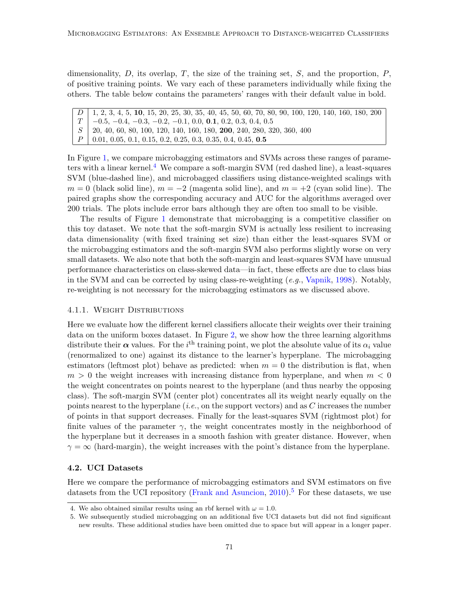dimensionality,  $D$ , its overlap,  $T$ , the size of the training set,  $S$ , and the proportion,  $P$ , of positive training points. We vary each of these parameters individually while fixing the others. The table below contains the parameters' ranges with their default value in bold.

D 1, 2, 3, 4, 5, 10, 15, 20, 25, 30, 35, 40, 45, 50, 60, 70, 80, 90, 100, 120, 140, 160, 180, 200  $T \mid -0.5, -0.4, -0.3, -0.2, -0.1, 0.0, 0.1, 0.2, 0.3, 0.4, 0.5$  $S$  | 20, 40, 60, 80, 100, 120, 140, 160, 180, 200, 240, 280, 320, 360, 400  $P \mid 0.01, 0.05, 0.1, 0.15, 0.2, 0.25, 0.3, 0.35, 0.4, 0.45, 0.5$ 

In Figure [1,](#page-9-0) we compare microbagging estimators and SVMs across these ranges of parameters with a linear kernel.[4](#page-8-1) We compare a soft-margin SVM (red dashed line), a least-squares SVM (blue-dashed line), and microbagged classifiers using distance-weighted scalings with  $m = 0$  (black solid line),  $m = -2$  (magenta solid line), and  $m = +2$  (cyan solid line). The paired graphs show the corresponding accuracy and AUC for the algorithms averaged over 200 trials. The plots include error bars although they are often too small to be visible.

The results of Figure [1](#page-9-0) demonstrate that microbagging is a competitive classifier on this toy dataset. We note that the soft-margin SVM is actually less resilient to increasing data dimensionality (with fixed training set size) than either the least-squares SVM or the microbagging estimators and the soft-margin SVM also performs slightly worse on very small datasets. We also note that both the soft-margin and least-squares SVM have unusual performance characteristics on class-skewed data—in fact, these effects are due to class bias in the SVM and can be corrected by using class-re-weighting  $(e.g., Vapnik, 1998)$  $(e.g., Vapnik, 1998)$  $(e.g., Vapnik, 1998)$  $(e.g., Vapnik, 1998)$ . Notably, re-weighting is not necessary for the microbagging estimators as we discussed above.

#### 4.1.1. Weight Distributions

Here we evaluate how the different kernel classifiers allocate their weights over their training data on the uniform boxes dataset. In Figure [2,](#page-10-0) we show how the three learning algorithms distribute their  $\alpha$  values. For the i<sup>th</sup> training point, we plot the absolute value of its  $\alpha_i$  value (renormalized to one) against its distance to the learner's hyperplane. The microbagging estimators (leftmost plot) behave as predicted: when  $m = 0$  the distribution is flat, when  $m > 0$  the weight increases with increasing distance from hyperplane, and when  $m < 0$ the weight concentrates on points nearest to the hyperplane (and thus nearby the opposing class). The soft-margin SVM (center plot) concentrates all its weight nearly equally on the points nearest to the hyperplane (*i.e.*, on the support vectors) and as  $C$  increases the number of points in that support decreases. Finally for the least-squares SVM (rightmost plot) for finite values of the parameter  $\gamma$ , the weight concentrates mostly in the neighborhood of the hyperplane but it decreases in a smooth fashion with greater distance. However, when  $\gamma = \infty$  (hard-margin), the weight increases with the point's distance from the hyperplane.

# <span id="page-8-0"></span>4.2. UCI Datasets

Here we compare the performance of microbagging estimators and SVM estimators on five datasets from the UCI repository [\(Frank and Asuncion,](#page-15-12) [2010\)](#page-15-12).<sup>[5](#page-8-2)</sup> For these datasets, we use

<span id="page-8-1"></span><sup>4.</sup> We also obtained similar results using an rbf kernel with  $\omega = 1.0$ .

<span id="page-8-2"></span><sup>5.</sup> We subsequently studied microbagging on an additional five UCI datasets but did not find significant new results. These additional studies have been omitted due to space but will appear in a longer paper.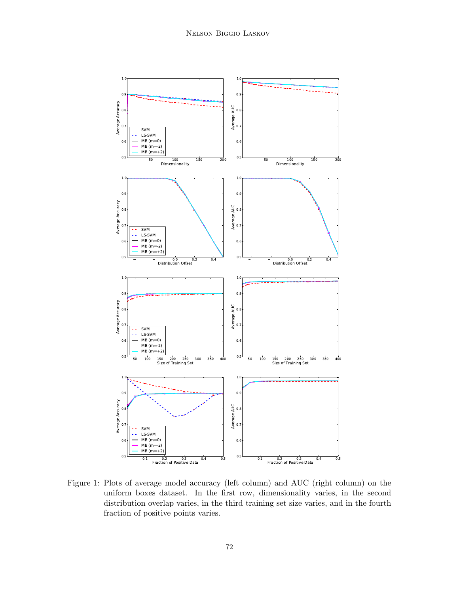

<span id="page-9-0"></span>Figure 1: Plots of average model accuracy (left column) and AUC (right column) on the uniform boxes dataset. In the first row, dimensionality varies, in the second distribution overlap varies, in the third training set size varies, and in the fourth fraction of positive points varies.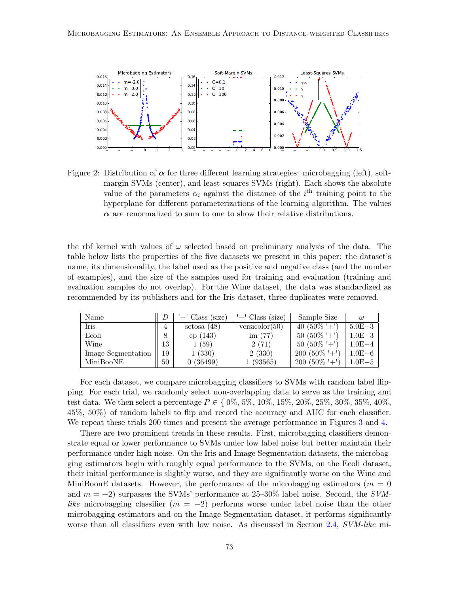

<span id="page-10-0"></span>Figure 2: Distribution of  $\alpha$  for three different learning strategies: microbagging (left), softmargin SVMs (center), and least-squares SVMs (right). Each shows the absolute value of the parameters  $\alpha_i$  against the distance of the i<sup>th</sup> training point to the hyperplane for different parameterizations of the learning algorithm. The values  $\alpha$  are renormalized to sum to one to show their relative distributions.

the rbf kernel with values of  $\omega$  selected based on preliminary analysis of the data. The table below lists the properties of the five datasets we present in this paper: the dataset's name, its dimensionality, the label used as the positive and negative class (and the number of examples), and the size of the samples used for training and evaluation (training and evaluation samples do not overlap). For the Wine dataset, the data was standardized as recommended by its publishers and for the Iris dataset, three duplicates were removed.

| Name               |    | $'+'$ Class (size) | $'$ -' Class (size) | Sample Size    | $\omega$   |
|--------------------|----|--------------------|---------------------|----------------|------------|
| Iris               | 4  | setosa $(48)$      | versicolor $(50)$   | 40 $(50\% +')$ | $5.0E-3$   |
| Ecoli              |    | cp(143)            | im $(77)$           | $50(50\% + )$  | $1.0E-3$   |
| Wine               | 13 | 1(59)              | 2(71)               | $50(50\% + )$  | $1.0E-4$   |
| Image Segmentation | 19 | 1(330)             | 2(330)              | $200(50\% + )$ | $1.0E-6$   |
| MiniBooNE          | 50 | 0(36499)           | 1(93565)            | $200(50\% + )$ | $1.0E - 5$ |

For each dataset, we compare microbagging classifiers to SVMs with random label flipping. For each trial, we randomly select non-overlapping data to serve as the training and test data. We then select a percentage  $P \in \{0\%, 5\%, 10\%, 15\%, 20\%, 25\%, 30\%, 35\%, 40\%$ , 45%, 50%} of random labels to flip and record the accuracy and AUC for each classifier. We repeat these trials 200 times and present the average performance in Figures [3](#page-11-0) and [4.](#page-12-0)

There are two prominent trends in these results. First, microbagging classifiers demonstrate equal or lower performance to SVMs under low label noise but better maintain their performance under high noise. On the Iris and Image Segmentation datasets, the microbagging estimators begin with roughly equal performance to the SVMs, on the Ecoli dataset, their initial performance is slightly worse, and they are significantly worse on the Wine and MiniBoonE datasets. However, the performance of the microbagging estimators ( $m = 0$ ) and  $m = +2$ ) surpasses the SVMs' performance at 25–30% label noise. Second, the SVMlike microbagging classifier ( $m = -2$ ) performs worse under label noise than the other microbagging estimators and on the Image Segmentation dataset, it performs significantly worse than all classifiers even with low noise. As discussed in Section [2.4,](#page-4-0) SVM-like mi-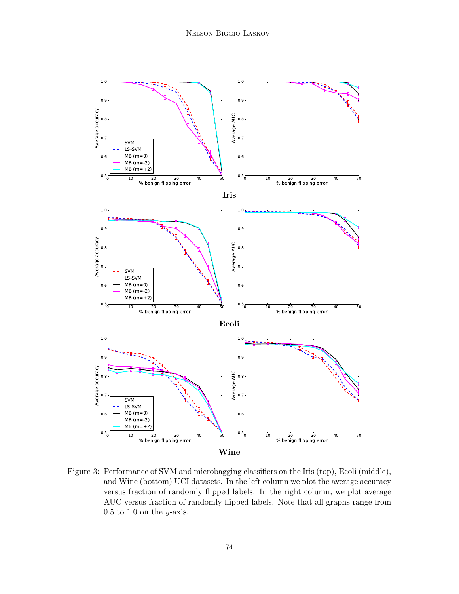

<span id="page-11-0"></span>Figure 3: Performance of SVM and microbagging classifiers on the Iris (top), Ecoli (middle), and Wine (bottom) UCI datasets. In the left column we plot the average accuracy versus fraction of randomly flipped labels. In the right column, we plot average AUC versus fraction of randomly flipped labels. Note that all graphs range from  $0.5$  to  $1.0$  on the *y*-axis.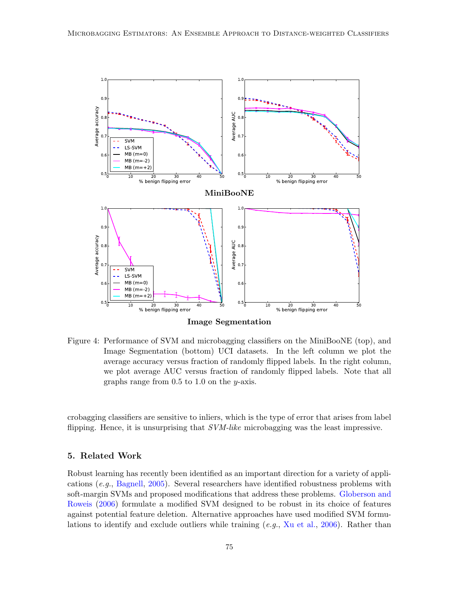

<span id="page-12-0"></span>Figure 4: Performance of SVM and microbagging classifiers on the MiniBooNE (top), and Image Segmentation (bottom) UCI datasets. In the left column we plot the average accuracy versus fraction of randomly flipped labels. In the right column, we plot average AUC versus fraction of randomly flipped labels. Note that all graphs range from  $0.5$  to  $1.0$  on the y-axis.

crobagging classifiers are sensitive to inliers, which is the type of error that arises from label flipping. Hence, it is unsurprising that SVM-like microbagging was the least impressive.

# 5. Related Work

Robust learning has recently been identified as an important direction for a variety of applications (e.g., [Bagnell,](#page-14-1) [2005\)](#page-14-1). Several researchers have identified robustness problems with soft-margin SVMs and proposed modifications that address these problems. [Globerson and](#page-15-13) [Roweis](#page-15-13) [\(2006\)](#page-15-13) formulate a modified SVM designed to be robust in its choice of features against potential feature deletion. Alternative approaches have used modified SVM formulations to identify and exclude outliers while training  $(e.g., Xu et al., 2006)$  $(e.g., Xu et al., 2006)$  $(e.g., Xu et al., 2006)$  $(e.g., Xu et al., 2006)$ . Rather than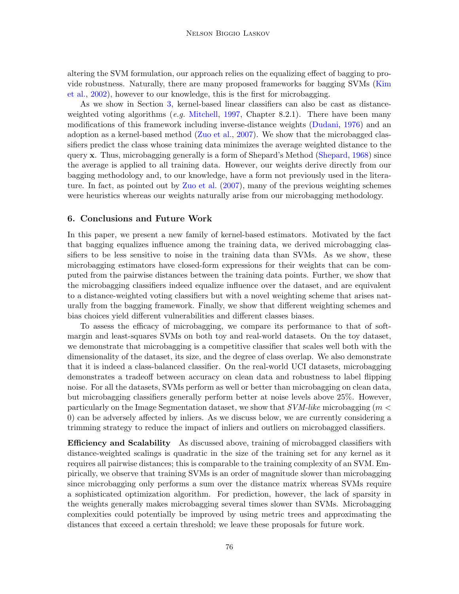altering the SVM formulation, our approach relies on the equalizing effect of bagging to provide robustness. Naturally, there are many proposed frameworks for bagging SVMs [\(Kim](#page-15-15) [et al.,](#page-15-15) [2002\)](#page-15-15), however to our knowledge, this is the first for microbagging.

As we show in Section [3,](#page-5-0) kernel-based linear classifiers can also be cast as distance-weighted voting algorithms (e.g. [Mitchell,](#page-15-16) [1997,](#page-15-16) Chapter 8.2.1). There have been many modifications of this framework including inverse-distance weights [\(Dudani,](#page-14-2) [1976\)](#page-14-2) and an adoption as a kernel-based method [\(Zuo et al.,](#page-15-17) [2007\)](#page-15-17). We show that the microbagged classifiers predict the class whose training data minimizes the average weighted distance to the query x. Thus, microbagging generally is a form of Shepard's Method [\(Shepard,](#page-15-18) [1968\)](#page-15-18) since the average is applied to all training data. However, our weights derive directly from our bagging methodology and, to our knowledge, have a form not previously used in the literature. In fact, as pointed out by [Zuo et al.](#page-15-17) [\(2007\)](#page-15-17), many of the previous weighting schemes were heuristics whereas our weights naturally arise from our microbagging methodology.

# 6. Conclusions and Future Work

In this paper, we present a new family of kernel-based estimators. Motivated by the fact that bagging equalizes influence among the training data, we derived microbagging classifiers to be less sensitive to noise in the training data than SVMs. As we show, these microbagging estimators have closed-form expressions for their weights that can be computed from the pairwise distances between the training data points. Further, we show that the microbagging classifiers indeed equalize influence over the dataset, and are equivalent to a distance-weighted voting classifiers but with a novel weighting scheme that arises naturally from the bagging framework. Finally, we show that different weighting schemes and bias choices yield different vulnerabilities and different classes biases.

To assess the efficacy of microbagging, we compare its performance to that of softmargin and least-squares SVMs on both toy and real-world datasets. On the toy dataset, we demonstrate that microbagging is a competitive classifier that scales well both with the dimensionality of the dataset, its size, and the degree of class overlap. We also demonstrate that it is indeed a class-balanced classifier. On the real-world UCI datasets, microbagging demonstrates a tradeoff between accuracy on clean data and robustness to label flipping noise. For all the datasets, SVMs perform as well or better than microbagging on clean data, but microbagging classifiers generally perform better at noise levels above 25%. However, particularly on the Image Segmentation dataset, we show that  $SVM-like$  microbagging ( $m <$ 0) can be adversely affected by inliers. As we discuss below, we are currently considering a trimming strategy to reduce the impact of inliers and outliers on microbagged classifiers.

**Efficiency and Scalability** As discussed above, training of microbagged classifiers with distance-weighted scalings is quadratic in the size of the training set for any kernel as it requires all pairwise distances; this is comparable to the training complexity of an SVM. Empirically, we observe that training SVMs is an order of magnitude slower than microbagging since microbagging only performs a sum over the distance matrix whereas SVMs require a sophisticated optimization algorithm. For prediction, however, the lack of sparsity in the weights generally makes microbagging several times slower than SVMs. Microbagging complexities could potentially be improved by using metric trees and approximating the distances that exceed a certain threshold; we leave these proposals for future work.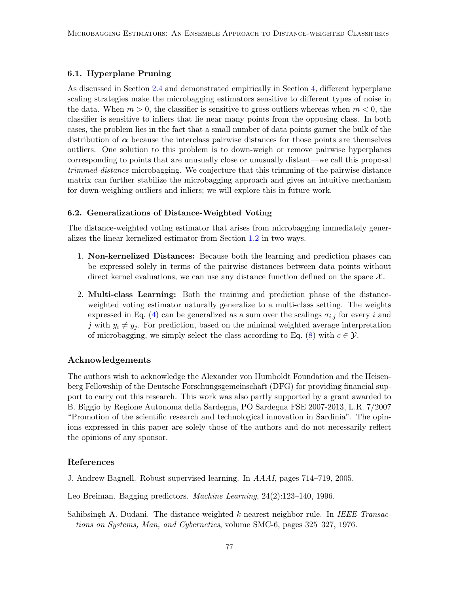# 6.1. Hyperplane Pruning

As discussed in Section [2.4](#page-4-0) and demonstrated empirically in Section [4,](#page-7-0) different hyperplane scaling strategies make the microbagging estimators sensitive to different types of noise in the data. When  $m > 0$ , the classifier is sensitive to gross outliers whereas when  $m < 0$ , the classifier is sensitive to inliers that lie near many points from the opposing class. In both cases, the problem lies in the fact that a small number of data points garner the bulk of the distribution of  $\alpha$  because the interclass pairwise distances for those points are themselves outliers. One solution to this problem is to down-weigh or remove pairwise hyperplanes corresponding to points that are unusually close or unusually distant—we call this proposal trimmed-distance microbagging. We conjecture that this trimming of the pairwise distance matrix can further stabilize the microbagging approach and gives an intuitive mechanism for down-weighing outliers and inliers; we will explore this in future work.

#### 6.2. Generalizations of Distance-Weighted Voting

The distance-weighted voting estimator that arises from microbagging immediately generalizes the linear kernelized estimator from Section [1.2](#page-2-3) in two ways.

- 1. Non-kernelized Distances: Because both the learning and prediction phases can be expressed solely in terms of the pairwise distances between data points without direct kernel evaluations, we can use any distance function defined on the space  $\mathcal{X}$ .
- 2. Multi-class Learning: Both the training and prediction phase of the distanceweighted voting estimator naturally generalize to a multi-class setting. The weights expressed in Eq. [\(4\)](#page-4-1) can be generalized as a sum over the scalings  $\sigma_{i,j}$  for every i and j with  $y_i \neq y_j$ . For prediction, based on the minimal weighted average interpretation of microbagging, we simply select the class according to Eq. [\(8\)](#page-6-2) with  $c \in \mathcal{Y}$ .

#### Acknowledgements

The authors wish to acknowledge the Alexander von Humboldt Foundation and the Heisenberg Fellowship of the Deutsche Forschungsgemeinschaft (DFG) for providing financial support to carry out this research. This work was also partly supported by a grant awarded to B. Biggio by Regione Autonoma della Sardegna, PO Sardegna FSE 2007-2013, L.R. 7/2007 "Promotion of the scientific research and technological innovation in Sardinia". The opinions expressed in this paper are solely those of the authors and do not necessarily reflect the opinions of any sponsor.

### References

- <span id="page-14-1"></span>J. Andrew Bagnell. Robust supervised learning. In AAAI, pages 714–719, 2005.
- <span id="page-14-0"></span>Leo Breiman. Bagging predictors. Machine Learning, 24(2):123–140, 1996.
- <span id="page-14-2"></span>Sahibsingh A. Dudani. The distance-weighted k-nearest neighbor rule. In *IEEE Transac*tions on Systems, Man, and Cybernetics, volume SMC-6, pages 325–327, 1976.